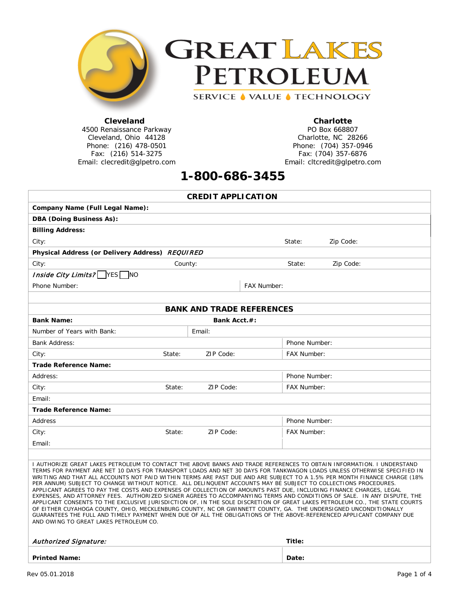



### **Cleveland**

4500 Renaissance Parkway Cleveland, Ohio 44128 Phone: (216) 478-0501 Fax: (216) 514-3275 Email: clecredit@glpetro.com

### **Charlotte**

PO Box 668807 Charlotte, NC 28266 Phone: (704) 357-0946 Fax: (704) 357-6876 Email: cltcredit@glpetro.com

# **1-800-686-3455**

| <b>CREDIT APPLICATION</b>                                                                                                                                                                                                                                                                                                                                                                                                                                                                                                                                                                                                                                                                                                                                                                                                                                                                                                                                                                                                                                                                                                                                          |        |              |             |                    |           |  |  |
|--------------------------------------------------------------------------------------------------------------------------------------------------------------------------------------------------------------------------------------------------------------------------------------------------------------------------------------------------------------------------------------------------------------------------------------------------------------------------------------------------------------------------------------------------------------------------------------------------------------------------------------------------------------------------------------------------------------------------------------------------------------------------------------------------------------------------------------------------------------------------------------------------------------------------------------------------------------------------------------------------------------------------------------------------------------------------------------------------------------------------------------------------------------------|--------|--------------|-------------|--------------------|-----------|--|--|
| Company Name (Full Legal Name):                                                                                                                                                                                                                                                                                                                                                                                                                                                                                                                                                                                                                                                                                                                                                                                                                                                                                                                                                                                                                                                                                                                                    |        |              |             |                    |           |  |  |
| <b>DBA (Doing Business As):</b>                                                                                                                                                                                                                                                                                                                                                                                                                                                                                                                                                                                                                                                                                                                                                                                                                                                                                                                                                                                                                                                                                                                                    |        |              |             |                    |           |  |  |
| <b>Billing Address:</b>                                                                                                                                                                                                                                                                                                                                                                                                                                                                                                                                                                                                                                                                                                                                                                                                                                                                                                                                                                                                                                                                                                                                            |        |              |             |                    |           |  |  |
| City:                                                                                                                                                                                                                                                                                                                                                                                                                                                                                                                                                                                                                                                                                                                                                                                                                                                                                                                                                                                                                                                                                                                                                              |        |              |             | State:             | Zip Code: |  |  |
| Physical Address (or Delivery Address) REQUIRED                                                                                                                                                                                                                                                                                                                                                                                                                                                                                                                                                                                                                                                                                                                                                                                                                                                                                                                                                                                                                                                                                                                    |        |              |             |                    |           |  |  |
| City:<br>County:                                                                                                                                                                                                                                                                                                                                                                                                                                                                                                                                                                                                                                                                                                                                                                                                                                                                                                                                                                                                                                                                                                                                                   |        |              |             | State:             | Zip Code: |  |  |
| <i>Inside City Limits?</i> $\sqrt{\text{YES}}$<br><b>NO</b>                                                                                                                                                                                                                                                                                                                                                                                                                                                                                                                                                                                                                                                                                                                                                                                                                                                                                                                                                                                                                                                                                                        |        |              |             |                    |           |  |  |
| Phone Number:                                                                                                                                                                                                                                                                                                                                                                                                                                                                                                                                                                                                                                                                                                                                                                                                                                                                                                                                                                                                                                                                                                                                                      |        |              | FAX Number: |                    |           |  |  |
|                                                                                                                                                                                                                                                                                                                                                                                                                                                                                                                                                                                                                                                                                                                                                                                                                                                                                                                                                                                                                                                                                                                                                                    |        |              |             |                    |           |  |  |
| <b>BANK AND TRADE REFERENCES</b>                                                                                                                                                                                                                                                                                                                                                                                                                                                                                                                                                                                                                                                                                                                                                                                                                                                                                                                                                                                                                                                                                                                                   |        |              |             |                    |           |  |  |
| <b>Bank Name:</b>                                                                                                                                                                                                                                                                                                                                                                                                                                                                                                                                                                                                                                                                                                                                                                                                                                                                                                                                                                                                                                                                                                                                                  |        | Bank Acct.#: |             |                    |           |  |  |
| Number of Years with Bank:                                                                                                                                                                                                                                                                                                                                                                                                                                                                                                                                                                                                                                                                                                                                                                                                                                                                                                                                                                                                                                                                                                                                         |        | Email:       |             |                    |           |  |  |
| <b>Bank Address:</b>                                                                                                                                                                                                                                                                                                                                                                                                                                                                                                                                                                                                                                                                                                                                                                                                                                                                                                                                                                                                                                                                                                                                               |        |              |             | Phone Number:      |           |  |  |
| City:                                                                                                                                                                                                                                                                                                                                                                                                                                                                                                                                                                                                                                                                                                                                                                                                                                                                                                                                                                                                                                                                                                                                                              | State: | ZIP Code:    |             | <b>FAX Number:</b> |           |  |  |
| Trade Reference Name:                                                                                                                                                                                                                                                                                                                                                                                                                                                                                                                                                                                                                                                                                                                                                                                                                                                                                                                                                                                                                                                                                                                                              |        |              |             |                    |           |  |  |
| Address:                                                                                                                                                                                                                                                                                                                                                                                                                                                                                                                                                                                                                                                                                                                                                                                                                                                                                                                                                                                                                                                                                                                                                           |        |              |             | Phone Number:      |           |  |  |
| City:                                                                                                                                                                                                                                                                                                                                                                                                                                                                                                                                                                                                                                                                                                                                                                                                                                                                                                                                                                                                                                                                                                                                                              | State: | ZIP Code:    |             | <b>FAX Number:</b> |           |  |  |
| Email:                                                                                                                                                                                                                                                                                                                                                                                                                                                                                                                                                                                                                                                                                                                                                                                                                                                                                                                                                                                                                                                                                                                                                             |        |              |             |                    |           |  |  |
| Trade Reference Name:                                                                                                                                                                                                                                                                                                                                                                                                                                                                                                                                                                                                                                                                                                                                                                                                                                                                                                                                                                                                                                                                                                                                              |        |              |             |                    |           |  |  |
| Address                                                                                                                                                                                                                                                                                                                                                                                                                                                                                                                                                                                                                                                                                                                                                                                                                                                                                                                                                                                                                                                                                                                                                            |        |              |             | Phone Number:      |           |  |  |
| City:                                                                                                                                                                                                                                                                                                                                                                                                                                                                                                                                                                                                                                                                                                                                                                                                                                                                                                                                                                                                                                                                                                                                                              | State: | ZIP Code:    |             | FAX Number:        |           |  |  |
| Email:                                                                                                                                                                                                                                                                                                                                                                                                                                                                                                                                                                                                                                                                                                                                                                                                                                                                                                                                                                                                                                                                                                                                                             |        |              |             |                    |           |  |  |
|                                                                                                                                                                                                                                                                                                                                                                                                                                                                                                                                                                                                                                                                                                                                                                                                                                                                                                                                                                                                                                                                                                                                                                    |        |              |             |                    |           |  |  |
| I AUTHORIZE GREAT LAKES PETROLEUM TO CONTACT THE ABOVE BANKS AND TRADE REFERENCES TO OBTAIN INFORMATION. I UNDERSTAND<br>TERMS FOR PAYMENT ARE NET 10 DAYS FOR TRANSPORT LOADS AND NET 30 DAYS FOR TANKWAGON LOADS UNLESS OTHERWISE SPECIFIED IN<br>WRITING AND THAT ALL ACCOUNTS NOT PAID WITHIN TERMS ARE PAST DUE AND ARE SUBJECT TO A 1.5% PER MONTH FINANCE CHARGE (18%<br>PER ANNUM) SUBJECT TO CHANGE WITHOUT NOTICE. ALL DELINQUENT ACCOUNTS MAY BE SUBJECT TO COLLECTIONS PROCEDURES.<br>APPLICANT AGREES TO PAY THE COSTS AND EXPENSES OF COLLECTION OF AMOUNTS PAST DUE, INCLUDING FINANCE CHARGES, LEGAL<br>EXPENSES, AND ATTORNEY FEES. AUTHORIZED SIGNER AGREES TO ACCOMPANYING TERMS AND CONDITIONS OF SALE. IN ANY DISPUTE, THE<br>APPLICANT CONSENTS TO THE EXCLUSIVE JURISDICTION OF, IN THE SOLE DISCRETION OF GREAT LAKES PETROLEUM CO., THE STATE COURTS<br>OF EITHER CUYAHOGA COUNTY, OHIO, MECKLENBURG COUNTY, NC OR GWINNETT COUNTY, GA. THE UNDERSIGNED UNCONDITIONALLY<br>GUARANTEES THE FULL AND TIMELY PAYMENT WHEN DUE OF ALL THE OBLIGATIONS OF THE ABOVE-REFERENCED APPLICANT COMPANY DUE<br>AND OWING TO GREAT LAKES PETROLEUM CO. |        |              |             |                    |           |  |  |
| Authorized Signature:<br>Title:                                                                                                                                                                                                                                                                                                                                                                                                                                                                                                                                                                                                                                                                                                                                                                                                                                                                                                                                                                                                                                                                                                                                    |        |              |             |                    |           |  |  |
|                                                                                                                                                                                                                                                                                                                                                                                                                                                                                                                                                                                                                                                                                                                                                                                                                                                                                                                                                                                                                                                                                                                                                                    |        |              |             |                    |           |  |  |
| <b>Printed Name:</b>                                                                                                                                                                                                                                                                                                                                                                                                                                                                                                                                                                                                                                                                                                                                                                                                                                                                                                                                                                                                                                                                                                                                               |        |              |             | Date:              |           |  |  |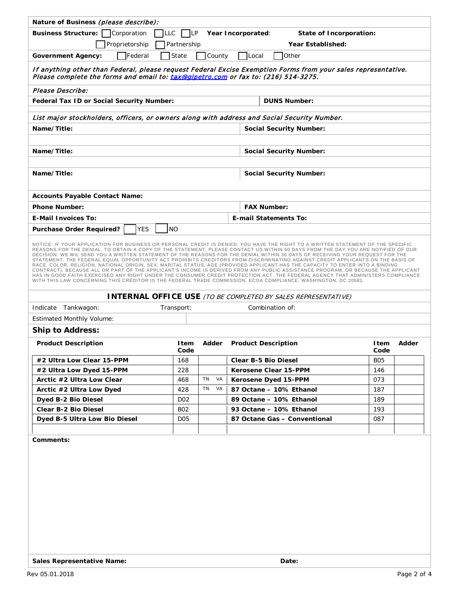| Nature of Business (please describe):                                                                                                                                                                                                                                                                                                                                                                                                                                                                                                                                                                                                                                                                                                                                                                                                                                                                                                                                                                                                                           |                 |          |  |                                |              |       |  |
|-----------------------------------------------------------------------------------------------------------------------------------------------------------------------------------------------------------------------------------------------------------------------------------------------------------------------------------------------------------------------------------------------------------------------------------------------------------------------------------------------------------------------------------------------------------------------------------------------------------------------------------------------------------------------------------------------------------------------------------------------------------------------------------------------------------------------------------------------------------------------------------------------------------------------------------------------------------------------------------------------------------------------------------------------------------------|-----------------|----------|--|--------------------------------|--------------|-------|--|
| <b>Business Structure:</b><br>Corporation<br><b>LLC</b><br>¶LP<br>Year Incorporated:<br>State of Incorporation:                                                                                                                                                                                                                                                                                                                                                                                                                                                                                                                                                                                                                                                                                                                                                                                                                                                                                                                                                 |                 |          |  |                                |              |       |  |
| Proprietorship<br>Partnership<br>Year Established:                                                                                                                                                                                                                                                                                                                                                                                                                                                                                                                                                                                                                                                                                                                                                                                                                                                                                                                                                                                                              |                 |          |  |                                |              |       |  |
| <b>T</b> Federal<br><b>Government Agency:</b>                                                                                                                                                                                                                                                                                                                                                                                                                                                                                                                                                                                                                                                                                                                                                                                                                                                                                                                                                                                                                   | State           | County   |  | Other<br> Local                |              |       |  |
| If anything other than Federal, please request Federal Excise Exemption Forms from your sales representative.<br>Please complete the forms and email to: tax@glpetro.com or fax to: (216) 514-3275.                                                                                                                                                                                                                                                                                                                                                                                                                                                                                                                                                                                                                                                                                                                                                                                                                                                             |                 |          |  |                                |              |       |  |
| Please Describe:                                                                                                                                                                                                                                                                                                                                                                                                                                                                                                                                                                                                                                                                                                                                                                                                                                                                                                                                                                                                                                                |                 |          |  |                                |              |       |  |
| Federal Tax ID or Social Security Number:                                                                                                                                                                                                                                                                                                                                                                                                                                                                                                                                                                                                                                                                                                                                                                                                                                                                                                                                                                                                                       |                 |          |  | <b>DUNS Number:</b>            |              |       |  |
| List major stockholders, officers, or owners along with address and Social Security Number.                                                                                                                                                                                                                                                                                                                                                                                                                                                                                                                                                                                                                                                                                                                                                                                                                                                                                                                                                                     |                 |          |  |                                |              |       |  |
| Name/Title:                                                                                                                                                                                                                                                                                                                                                                                                                                                                                                                                                                                                                                                                                                                                                                                                                                                                                                                                                                                                                                                     |                 |          |  | <b>Social Security Number:</b> |              |       |  |
|                                                                                                                                                                                                                                                                                                                                                                                                                                                                                                                                                                                                                                                                                                                                                                                                                                                                                                                                                                                                                                                                 |                 |          |  |                                |              |       |  |
| Name/Title:                                                                                                                                                                                                                                                                                                                                                                                                                                                                                                                                                                                                                                                                                                                                                                                                                                                                                                                                                                                                                                                     |                 |          |  | <b>Social Security Number:</b> |              |       |  |
|                                                                                                                                                                                                                                                                                                                                                                                                                                                                                                                                                                                                                                                                                                                                                                                                                                                                                                                                                                                                                                                                 |                 |          |  |                                |              |       |  |
| Name/Title:                                                                                                                                                                                                                                                                                                                                                                                                                                                                                                                                                                                                                                                                                                                                                                                                                                                                                                                                                                                                                                                     |                 |          |  | <b>Social Security Number:</b> |              |       |  |
|                                                                                                                                                                                                                                                                                                                                                                                                                                                                                                                                                                                                                                                                                                                                                                                                                                                                                                                                                                                                                                                                 |                 |          |  |                                |              |       |  |
| <b>Accounts Payable Contact Name:</b>                                                                                                                                                                                                                                                                                                                                                                                                                                                                                                                                                                                                                                                                                                                                                                                                                                                                                                                                                                                                                           |                 |          |  |                                |              |       |  |
| <b>Phone Number:</b>                                                                                                                                                                                                                                                                                                                                                                                                                                                                                                                                                                                                                                                                                                                                                                                                                                                                                                                                                                                                                                            |                 |          |  | <b>FAX Number:</b>             |              |       |  |
| <b>E-Mail Invoices To:</b><br><b>E-mail Statements To:</b>                                                                                                                                                                                                                                                                                                                                                                                                                                                                                                                                                                                                                                                                                                                                                                                                                                                                                                                                                                                                      |                 |          |  |                                |              |       |  |
| YES<br>Purchase Order Required?                                                                                                                                                                                                                                                                                                                                                                                                                                                                                                                                                                                                                                                                                                                                                                                                                                                                                                                                                                                                                                 | N <sub>O</sub>  |          |  |                                |              |       |  |
| NOTICE: IF YOUR APPLICATION FOR BUSINESS OR PERSONAL CREDIT IS DENIED, YOU HAVE THE RIGHT TO A WRITTEN STATEMENT OF THE SPECIFIC<br>REASONS FOR THE DENIAL. TO OBTAIN A COPY OF THE STATEMENT, PLEASE CONTACT US WITHIN 60 DAYS FROM THE DAY YOU ARE NOTIFIED OF OUR<br>DECISION. WE WIL SEND YOU A WRITTEN STATEMENT OF THE REASONS FOR THE DENIAL WITHIN 30 DAYS OF RECEIVING YOUR REQUEST FOR THE<br>STATEMENT. THE FEDERAL EQUAL OPPORTUNITY ACT PROHIBITS CREDITORS FROM DISCRIMINATING AGAINST CREDIT APPLICANTS ON THE BASIS OF<br>RACE, COLOR, RELIGION, NATIONAL ORIGIN, SEX, MARITAL STATUS, AGE (PROVIDED APPLICANT HAS THE CAPACITY TO ENTER INTO A BINDING<br>CONTRACT), BECAUSE ALL OR PART OF THE APPLICANT'S INCOME IS DERIVED FROM ANY PUBLIC ASSISTANCE PROGRAM, OR BECAUSE THE APPLICANT<br>HAS IN GOOD FAITH EXERCISED ANY RIGHT UNDER THE CONSUMER CREDIT PROTECTION ACT. THE FEDERAL AGENCY THAT ADMINISTERS COMPLIANCE<br>WITH THIS LAW CONCERNING THIS CREDITOR IS THE FEDERAL TRADE COMMISSION, ECOA COMPLIANCE, WASHINGTON, DC 20581. |                 |          |  |                                |              |       |  |
| <b>INTERNAL OFFICE USE</b> (TO BE COMPLETED BY SALES REPRESENTATIVE)                                                                                                                                                                                                                                                                                                                                                                                                                                                                                                                                                                                                                                                                                                                                                                                                                                                                                                                                                                                            |                 |          |  |                                |              |       |  |
| Indicate Tankwagon:                                                                                                                                                                                                                                                                                                                                                                                                                                                                                                                                                                                                                                                                                                                                                                                                                                                                                                                                                                                                                                             | Transport:      |          |  | Combination of:                |              |       |  |
| <b>Estimated Monthly Volume:</b>                                                                                                                                                                                                                                                                                                                                                                                                                                                                                                                                                                                                                                                                                                                                                                                                                                                                                                                                                                                                                                |                 |          |  |                                |              |       |  |
| <b>Ship to Address:</b>                                                                                                                                                                                                                                                                                                                                                                                                                                                                                                                                                                                                                                                                                                                                                                                                                                                                                                                                                                                                                                         |                 |          |  |                                |              |       |  |
| <b>Product Description</b>                                                                                                                                                                                                                                                                                                                                                                                                                                                                                                                                                                                                                                                                                                                                                                                                                                                                                                                                                                                                                                      | ltem<br>Code    |          |  | Adder Product Description      | ltem<br>Code | Adder |  |
| #2 Ultra Low Clear 15-PPM                                                                                                                                                                                                                                                                                                                                                                                                                                                                                                                                                                                                                                                                                                                                                                                                                                                                                                                                                                                                                                       | 168             |          |  | Clear B-5 Bio Diesel           | <b>B05</b>   |       |  |
| #2 Ultra Low Dyed 15-PPM                                                                                                                                                                                                                                                                                                                                                                                                                                                                                                                                                                                                                                                                                                                                                                                                                                                                                                                                                                                                                                        | 228             |          |  | Kerosene Clear 15-PPM          | 146          |       |  |
| Arctic #2 Ultra Low Clear                                                                                                                                                                                                                                                                                                                                                                                                                                                                                                                                                                                                                                                                                                                                                                                                                                                                                                                                                                                                                                       | 468             | TN<br>VA |  | Kerosene Dyed 15-PPM           | 073          |       |  |
| Arctic #2 Ultra Low Dyed                                                                                                                                                                                                                                                                                                                                                                                                                                                                                                                                                                                                                                                                                                                                                                                                                                                                                                                                                                                                                                        | 428             | TN<br>VA |  | 87 Octane - 10% Ethanol        | 187          |       |  |
| Dyed B-2 Bio Diesel                                                                                                                                                                                                                                                                                                                                                                                                                                                                                                                                                                                                                                                                                                                                                                                                                                                                                                                                                                                                                                             | DO <sub>2</sub> |          |  | 89 Octane - 10% Ethanol        | 189          |       |  |
| Clear B-2 Bio Diesel                                                                                                                                                                                                                                                                                                                                                                                                                                                                                                                                                                                                                                                                                                                                                                                                                                                                                                                                                                                                                                            | <b>B02</b>      |          |  | 93 Octane - 10% Ethanol        | 193          |       |  |
| Dyed B-5 Ultra Low Bio Diesel                                                                                                                                                                                                                                                                                                                                                                                                                                                                                                                                                                                                                                                                                                                                                                                                                                                                                                                                                                                                                                   | D <sub>05</sub> |          |  | 87 Octane Gas - Conventional   | 087          |       |  |
|                                                                                                                                                                                                                                                                                                                                                                                                                                                                                                                                                                                                                                                                                                                                                                                                                                                                                                                                                                                                                                                                 |                 |          |  |                                |              |       |  |
| Comments:                                                                                                                                                                                                                                                                                                                                                                                                                                                                                                                                                                                                                                                                                                                                                                                                                                                                                                                                                                                                                                                       |                 |          |  |                                |              |       |  |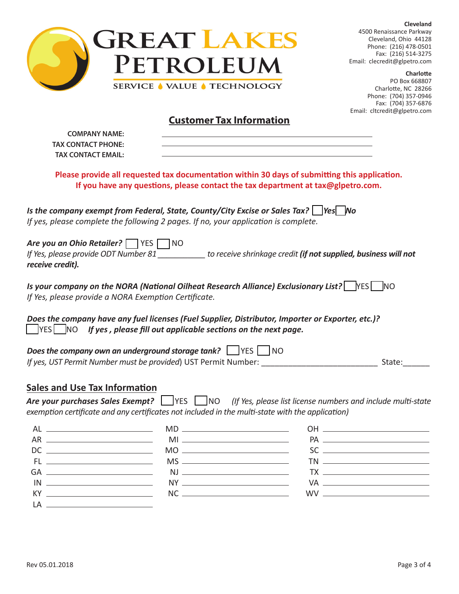

**Cleveland** 4500 Renaissance Parkway Cleveland, Ohio 44128 Phone: (216) 478-0501 Fax: (216) 514-3275 Email: clecredit@glpetro.com

**Charlotte** PO Box 668807 Charlotte, NC 28266 Phone: (704) 357-0946 Fax: (704) 357-6876 Email: cltcredit@glpetro.com

## **Customer Tax Information**

| <b>COMPANY NAME:</b><br><b>TAX CONTACT PHONE:</b>                                                                                                                                                                                                         |                                                                                                                                                                                                                                                                                                                                                                                                                                                                                                                                |                                                                                                 |
|-----------------------------------------------------------------------------------------------------------------------------------------------------------------------------------------------------------------------------------------------------------|--------------------------------------------------------------------------------------------------------------------------------------------------------------------------------------------------------------------------------------------------------------------------------------------------------------------------------------------------------------------------------------------------------------------------------------------------------------------------------------------------------------------------------|-------------------------------------------------------------------------------------------------|
| <b>TAX CONTACT EMAIL:</b>                                                                                                                                                                                                                                 |                                                                                                                                                                                                                                                                                                                                                                                                                                                                                                                                |                                                                                                 |
|                                                                                                                                                                                                                                                           | Please provide all requested tax documentation within 30 days of submitting this application.<br>If you have any questions, please contact the tax department at tax@glpetro.com.                                                                                                                                                                                                                                                                                                                                              |                                                                                                 |
| Is the company exempt from Federal, State, County/City Excise or Sales Tax?    Yes   No<br>If yes, please complete the following 2 pages. If no, your application is complete.                                                                            |                                                                                                                                                                                                                                                                                                                                                                                                                                                                                                                                |                                                                                                 |
| Are you an Ohio Retailer? VES NO<br>If Yes, please provide ODT Number 81 ___________ to receive shrinkage credit (if not supplied, business will not<br>receive credit).                                                                                  |                                                                                                                                                                                                                                                                                                                                                                                                                                                                                                                                |                                                                                                 |
| Is your company on the NORA (National Oilheat Research Alliance) Exclusionary List?   YES   NO<br>If Yes, please provide a NORA Exemption Certificate.                                                                                                    |                                                                                                                                                                                                                                                                                                                                                                                                                                                                                                                                |                                                                                                 |
| Does the company have any fuel licenses (Fuel Supplier, Distributor, Importer or Exporter, etc.)?<br>$\Box$ YES $\Box$ NO If yes, please fill out applicable sections on the next page.                                                                   |                                                                                                                                                                                                                                                                                                                                                                                                                                                                                                                                |                                                                                                 |
| Does the company own an underground storage tank? IVES NO                                                                                                                                                                                                 |                                                                                                                                                                                                                                                                                                                                                                                                                                                                                                                                |                                                                                                 |
|                                                                                                                                                                                                                                                           |                                                                                                                                                                                                                                                                                                                                                                                                                                                                                                                                | State:                                                                                          |
| <b>Sales and Use Tax Information</b>                                                                                                                                                                                                                      |                                                                                                                                                                                                                                                                                                                                                                                                                                                                                                                                |                                                                                                 |
| Are your purchases Sales Exempt? VES NO (If Yes, please list license numbers and include multi-state<br>exemption certificate and any certificates not included in the multi-state with the application)                                                  |                                                                                                                                                                                                                                                                                                                                                                                                                                                                                                                                |                                                                                                 |
| AL                                                                                                                                                                                                                                                        | $MD \_$                                                                                                                                                                                                                                                                                                                                                                                                                                                                                                                        |                                                                                                 |
| $AR$ and $AR$ and $AR$ and $AR$ and $AR$ and $AR$ and $AR$ and $AR$ and $AR$ and $AR$ and $AR$ and $AR$ and $AR$ and $AR$ and $AR$ and $AR$ and $AR$ and $AR$ and $AR$ and $AR$ and $AR$ and $AR$ and $AR$ and $AR$ and $AR$ and $AR$ and $AR$ and $AR$ a |                                                                                                                                                                                                                                                                                                                                                                                                                                                                                                                                |                                                                                                 |
|                                                                                                                                                                                                                                                           | $MO \xrightarrow{\qquad \qquad }$                                                                                                                                                                                                                                                                                                                                                                                                                                                                                              | $SC \underline{\hspace{2.5cm}}$                                                                 |
| FL __________________________                                                                                                                                                                                                                             |                                                                                                                                                                                                                                                                                                                                                                                                                                                                                                                                | $\begin{tabular}{c} 20\hline \text{TN} & \text{---} & \text{---} & \text{---} \\ \end{tabular}$ |
|                                                                                                                                                                                                                                                           |                                                                                                                                                                                                                                                                                                                                                                                                                                                                                                                                | $TX \qquad \qquad \overbrace{\qquad \qquad }$                                                   |
|                                                                                                                                                                                                                                                           |                                                                                                                                                                                                                                                                                                                                                                                                                                                                                                                                |                                                                                                 |
|                                                                                                                                                                                                                                                           | $NC \xrightarrow{\hspace*{1.5cm}} \xrightarrow{\hspace*{1.5cm}} \xrightarrow{\hspace*{1.5cm}} \xrightarrow{\hspace*{1.5cm}} \xrightarrow{\hspace*{1.5cm}} \xrightarrow{\hspace*{1.5cm}} \xrightarrow{\hspace*{1.5cm}} \xrightarrow{\hspace*{1.5cm}} \xrightarrow{\hspace*{1.5cm}} \xrightarrow{\hspace*{1.5cm}} \xrightarrow{\hspace*{1.5cm}} \xrightarrow{\hspace*{1.5cm}} \xrightarrow{\hspace*{1.5cm}} \xrightarrow{\hspace*{1.5cm}} \xrightarrow{\hspace*{1.5cm}} \xrightarrow{\hspace*{1.5cm}} \xrightarrow{\hspace*{1.5$ | $WW \underline{\hspace{2cm}}$                                                                   |
| LA                                                                                                                                                                                                                                                        |                                                                                                                                                                                                                                                                                                                                                                                                                                                                                                                                |                                                                                                 |